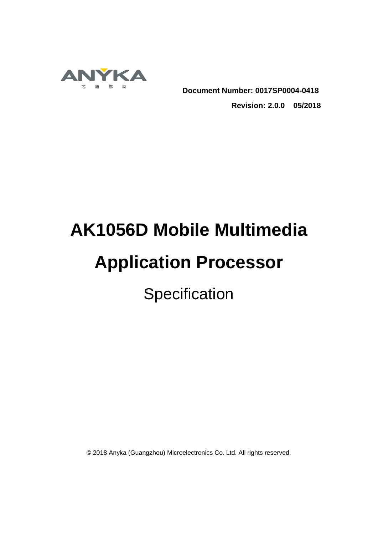

**Document Number: 0017SP0004-0418**

**Revision: 2.0.0 05/2018**

# **AK1056D Mobile Multimedia**

## **Application Processor**

**Specification** 

© 2018 Anyka (Guangzhou) Microelectronics Co. Ltd. All rights reserved.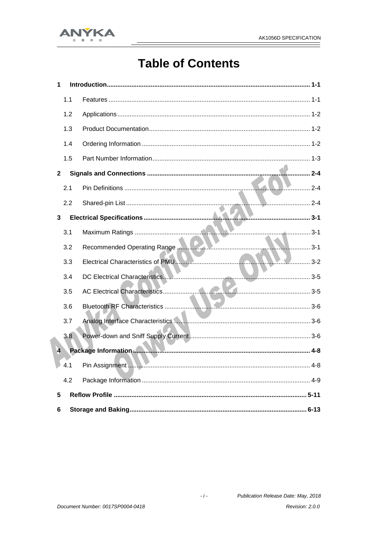

## **Table of Contents**

| 1              |     |                                    |
|----------------|-----|------------------------------------|
|                | 1.1 |                                    |
|                | 1.2 |                                    |
|                | 1.3 |                                    |
|                | 1.4 |                                    |
|                | 1.5 |                                    |
| $\mathbf{2}$   |     | 2-4                                |
|                | 2.1 |                                    |
|                | 2.2 |                                    |
| 3              |     |                                    |
|                | 3.1 |                                    |
|                | 3.2 | 3-1<br>Recommended Operating Range |
|                | 3.3 | Electrical Characteristics of PMU  |
|                | 3.4 |                                    |
|                | 3.5 |                                    |
|                | 3.6 |                                    |
|                | 3.7 |                                    |
|                | 3.8 |                                    |
| $\overline{4}$ |     |                                    |
|                |     |                                    |
|                | 4.2 |                                    |
| 5              |     |                                    |
| 6              |     |                                    |

Publication Release Date: May, 2018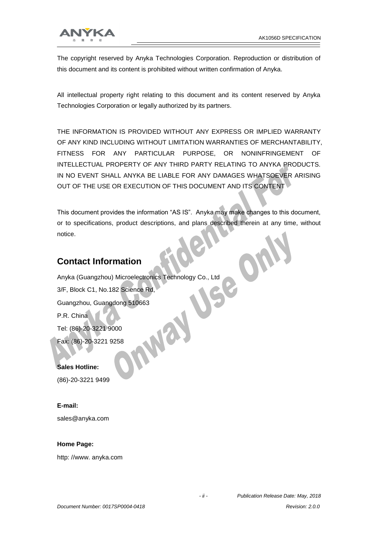

The copyright reserved by Anyka Technologies Corporation. Reproduction or distribution of this document and its content is prohibited without written confirmation of Anyka.

All intellectual property right relating to this document and its content reserved by Anyka Technologies Corporation or legally authorized by its partners.

THE INFORMATION IS PROVIDED WITHOUT ANY EXPRESS OR IMPLIED WARRANTY OF ANY KIND INCLUDING WITHOUT LIMITATION WARRANTIES OF MERCHANTABILITY, FITNESS FOR ANY PARTICULAR PURPOSE, OR NONINFRINGEMENT OF INTELLECTUAL PROPERTY OF ANY THIRD PARTY RELATING TO ANYKA PRODUCTS. IN NO EVENT SHALL ANYKA BE LIABLE FOR ANY DAMAGES WHATSOEVER ARISING OUT OF THE USE OR EXECUTION OF THIS DOCUMENT AND ITS CONTENT

This document provides the information "AS IS". Anyka may make changes to this document, or to specifications, product descriptions, and plans described therein at any time, without notice.

#### **Contact Information**

Anyka (Guangzhou) Microelectronics Technology Co., Ltd 3/F, Block C1, No.182 Science Rd,  $\tilde{\phantom{a}}$ Guangzhou, Guangdong 510663 P.R. China MVa Tel: (86)-20-3221 9000 Fax: (86)-20-3221 9258

**Sales Hotline:** 

(86)-20-3221 9499

#### **E-mail:**

sales@anyka.com

#### **Home Page:**

http: //www. anyka.com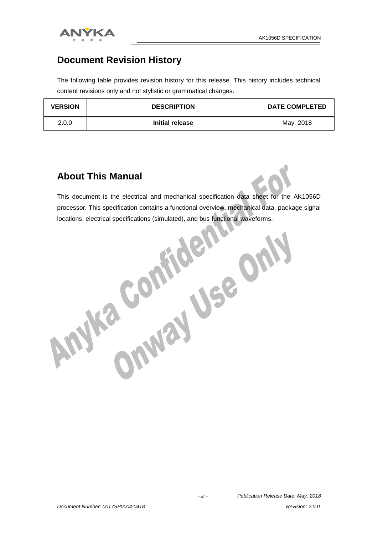

#### **Document Revision History**

The following table provides revision history for this release. This history includes technical content revisions only and not stylistic or grammatical changes.

| <b>VERSION</b> | <b>DESCRIPTION</b> | <b>DATE COMPLETED</b> |
|----------------|--------------------|-----------------------|
| 2.0.0          | Initial release    | May, 2018             |

#### **About This Manual**

This document is the electrical and mechanical specification data sheet for the AK1056D processor. This specification contains a functional overview, mechanical data, package signal

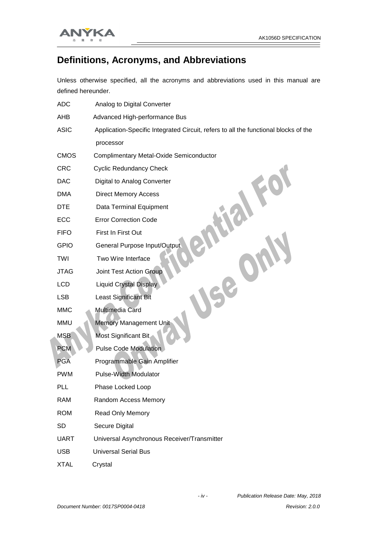

#### **Definitions, Acronyms, and Abbreviations**

Unless otherwise specified, all the acronyms and abbreviations used in this manual are defined hereunder.

| <b>ADC</b>  | Analog to Digital Converter                                                         |
|-------------|-------------------------------------------------------------------------------------|
| AHB         | Advanced High-performance Bus                                                       |
| <b>ASIC</b> | Application-Specific Integrated Circuit, refers to all the functional blocks of the |
|             | processor                                                                           |
| <b>CMOS</b> | <b>Complimentary Metal-Oxide Semiconductor</b>                                      |
| <b>CRC</b>  | <b>Cyclic Redundancy Check</b>                                                      |
| <b>DAC</b>  | Digital to Analog Converter                                                         |
| <b>DMA</b>  | <b>Direct Memory Access</b>                                                         |
| <b>DTE</b>  | Data Terminal Equipment                                                             |
| ECC         | <b>Error Correction Code</b>                                                        |
| <b>FIFO</b> | First In First Out                                                                  |
| <b>GPIO</b> | General Purpose Input/Output                                                        |
| TWI         | Two Wire Interface                                                                  |
| <b>JTAG</b> | <b>Joint Test Action Group</b>                                                      |
| LCD         | <b>Liquid Crystal Display</b>                                                       |
| <b>LSB</b>  | <b>Least Significant Bit</b>                                                        |
| <b>MMC</b>  | Multimedia Card                                                                     |
| <b>MMU</b>  | <b>Memory Management Unit</b>                                                       |
| <b>MSB</b>  | Most Significant Bit                                                                |
| <b>PCM</b>  | Pulse Code Modulation                                                               |
| <b>PGA</b>  | Programmable Gain Amplifier                                                         |
| <b>PWM</b>  | <b>Pulse-Width Modulator</b>                                                        |
| PLL         | Phase Locked Loop                                                                   |
| <b>RAM</b>  | Random Access Memory                                                                |
| <b>ROM</b>  | Read Only Memory                                                                    |
| <b>SD</b>   | Secure Digital                                                                      |
| <b>UART</b> | Universal Asynchronous Receiver/Transmitter                                         |
| <b>USB</b>  | <b>Universal Serial Bus</b>                                                         |
| <b>XTAL</b> | Crystal                                                                             |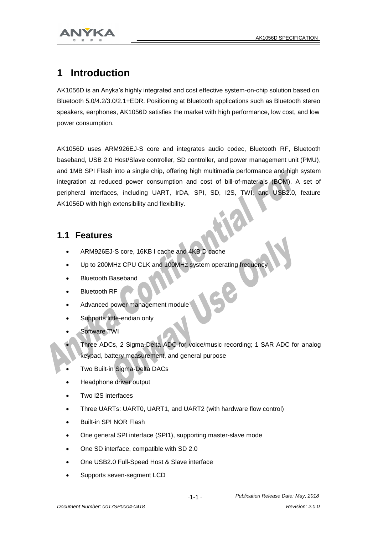



## **1 Introduction**

AK1056D is an Anyka's highly integrated and cost effective system-on-chip solution based on Bluetooth 5.0/4.2/3.0/2.1+EDR. Positioning at Bluetooth applications such as Bluetooth stereo speakers, earphones, AK1056D satisfies the market with high performance, low cost, and low power consumption.

AK1056D uses ARM926EJ-S core and integrates audio codec, Bluetooth RF, Bluetooth baseband, USB 2.0 Host/Slave controller, SD controller, and power management unit (PMU), and 1MB SPI Flash into a single chip, offering high multimedia performance and high system integration at reduced power consumption and cost of bill-of-materials (BOM). A set of peripheral interfaces, including UART, IrDA, SPI, SD, I2S, TWI, and USB2.0, feature AK1056D with high extensibility and flexibility.

#### **1.1 Features**

- ARM926EJ-S core, 16KB I cache and 4KB D cache
- Up to 200MHz CPU CLK and 100MHz system operating frequency
- Bluetooth Baseband
- **Bluetooth RF**
- Advanced power management module
- Supports little-endian only
- Software TWI
- Three ADCs, 2 Sigma-Delta ADC for voice/music recording; 1 SAR ADC for analog keypad, battery measurement, and general purpose
- Two Built-in Sigma-Delta DACs
- Headphone driver output
- Two I2S interfaces
- Three UARTs: UART0, UART1, and UART2 (with hardware flow control)
- Built-in SPI NOR Flash
- One general SPI interface (SPI1), supporting master-slave mode
- One SD interface, compatible with SD 2.0
- One USB2.0 Full-Speed Host & Slave interface
- Supports seven-segment LCD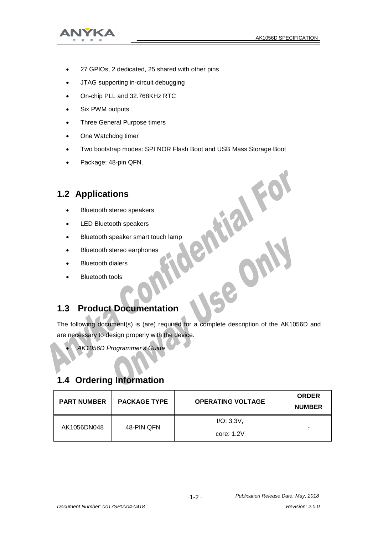

- 27 GPIOs, 2 dedicated, 25 shared with other pins
- JTAG supporting in-circuit debugging
- On-chip PLL and 32.768KHz RTC
- Six PWM outputs
- Three General Purpose timers
- One Watchdog timer
- 
- Package: 48-pin QFN.

#### **1.2 Applications**

- Bluetooth stereo speakers
- LED Bluetooth speakers
- Bluetooth speaker smart touch lamp
- Bluetooth stereo earphones
- Bluetooth dialers
- Bluetooth tools

#### **1.3 Product Documentation**

Two bootstrap modes: SPI NOR Flash Boot and USB Mass Storage Boot<br>
Package: 48-pin QFN.<br>
2 Applications<br>
Bluetooth stereo speakers<br>
LED Bluetooth speaker smart touch lamp<br>
Bluetooth stereo earphones<br>
Bluetooth stereo earph The following document(s) is (are) required for a complete description of the AK1056D and are necessary to design properly with the device.

*AK1056D Programmer's Guide*

#### **1.4 Ordering Information**

| <b>PART NUMBER</b> | <b>PACKAGE TYPE</b> | <b>OPERATING VOLTAGE</b> | <b>ORDER</b><br><b>NUMBER</b> |
|--------------------|---------------------|--------------------------|-------------------------------|
| AK1056DN048        | 48-PIN QFN          | I/O: 3.3V,               | $\overline{\phantom{a}}$      |
|                    |                     | core: 1.2V               |                               |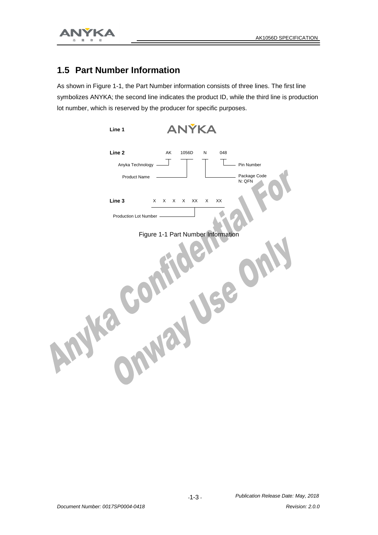

#### **1.5 Part Number Information**

As shown in Figure 1-1, the Part Number information consists of three lines. The first line symbolizes ANYKA; the second line indicates the product ID, while the third line is production lot number, which is reserved by the producer for specific purposes.

| Line 1                                     | ANÝKA                              |                             |                                      |
|--------------------------------------------|------------------------------------|-----------------------------|--------------------------------------|
| Line 2<br>Anyka Technology<br>Product Name | AK<br>1056D                        | ${\sf N}$<br>048            | Pin Number<br>Package Code<br>N: QFŇ |
| Line 3<br>X                                | $\mathsf{X}$<br>X<br>X<br>XX       | $\mathsf{X}\mathsf{X}$<br>X |                                      |
| Production Lot Number                      | Figure 1-1 Part Number Information |                             |                                      |
|                                            |                                    |                             |                                      |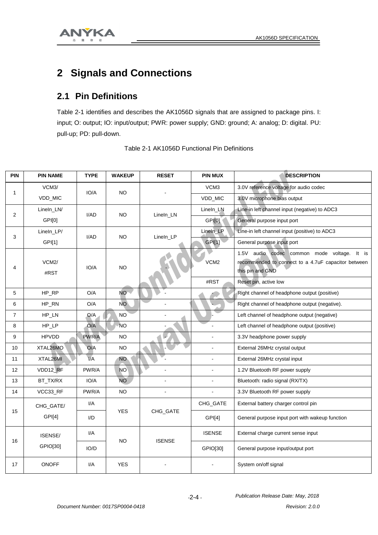

## **2 Signals and Connections**

#### **2.1 Pin Definitions**

Table 2-1 identifies and describes the AK1056D signals that are assigned to package pins. I: input; O: output; IO: input/output; PWR: power supply; GND: ground; A: analog; D: digital. PU: pull-up; PD: pull-down.

| <b>PIN</b>     | <b>PIN NAME</b>            | <b>TYPE</b>      | <b>WAKEUP</b> | <b>RESET</b>  | <b>PIN MUX</b>   | <b>DESCRIPTION</b>                                                                                                        |
|----------------|----------------------------|------------------|---------------|---------------|------------------|---------------------------------------------------------------------------------------------------------------------------|
|                | VCM3/                      | IO/A             | NO.           |               | VCM <sub>3</sub> | 3.0V reference voltage for audio codec                                                                                    |
| 1              | VDD_MIC                    |                  |               |               | VDD_MIC          | 3.0V microphone bias output                                                                                               |
| $\mathbf 2$    | LineIn_LN/                 | I/AD             | <b>NO</b>     | LineIn_LN     | Lineln_LN        | Line-in left channel input (negative) to ADC3                                                                             |
|                | GPI[0]                     |                  |               |               | GPIOI            | General purpose input port                                                                                                |
| 3              | LineIn_LP/                 | I/AD             | <b>NO</b>     | LineIn_LP     | Lineln_LP        | Line-in left channel input (positive) to ADC3                                                                             |
|                | GPI[1]                     |                  |               |               | <b>GPI[1]</b>    | General purpose input port                                                                                                |
| 4              | VCM <sub>2</sub> /<br>#RST | IO/A             | <b>NO</b>     |               | VCM <sub>2</sub> | 1.5V audio codec common mode voltage.<br>It is<br>recommended to connect to a 4.7uF capacitor between<br>this pin and GND |
|                |                            |                  |               |               | #RST             | Reset pin, active low                                                                                                     |
| 5              | HP_RP                      | O/A              | <b>NO</b>     |               |                  | Right channel of headphone output (positive)                                                                              |
| 6              | HP_RN                      | O/A              | <b>NO</b>     |               |                  | Right channel of headphone output (negative).                                                                             |
| $\overline{7}$ | HP_LN                      | Q/A              | <b>NO</b>     |               |                  | Left channel of headphone output (negative)                                                                               |
| 8              | $HP\_LP$                   | O/A              | <b>NO</b>     |               |                  | Left channel of headphone output (positive)                                                                               |
| 9              | <b>HPVDD</b>               | PWR/A            | <b>NO</b>     |               |                  | 3.3V headphone power supply                                                                                               |
| 10             | XTAL26MO                   | O/A              | <b>NO</b>     |               | $\mathbf{r}$     | External 26MHz crystal output                                                                                             |
| 11             | XTAL26MI                   | $\overline{V}$ A | <b>NO</b>     |               | $\blacksquare$   | External 26MHz crystal input                                                                                              |
| 12             | VDD12_RF                   | PWR/A            | <b>NO</b>     | ÷,            | ÷,               | 1.2V Bluetooth RF power supply                                                                                            |
| 13             | BT_TX/RX                   | IO/A             | <b>NO</b>     | ÷,            |                  | Bluetooth: radio signal (RX/TX)                                                                                           |
| 14             | VCC33_RF                   | PWR/A            | <b>NO</b>     | ÷,            | $\blacksquare$   | 3.3V Bluetooth RF power supply                                                                                            |
|                | CHG_GATE/                  | I/A              |               |               | CHG_GATE         | External battery charger control pin                                                                                      |
| 15             | GPI[4]                     | $1/D$            | <b>YES</b>    | CHG_GATE      | GPI[4]           | General purpose input port with wakeup function                                                                           |
| 16             | ISENSE/                    | I/A              | <b>NO</b>     | <b>ISENSE</b> | <b>ISENSE</b>    | External charge current sense input                                                                                       |
|                | GPIO[30]                   | IO/D             |               |               | GPIO[30]         | General purpose input/output port                                                                                         |
| 17             | <b>ONOFF</b>               | I/A              | <b>YES</b>    |               |                  | System on/off signal                                                                                                      |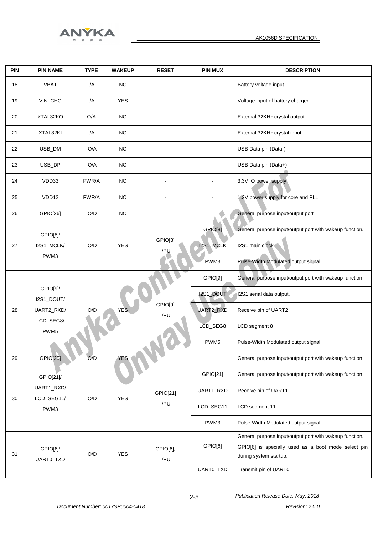

|  |       | <b>ANYKA</b> |
|--|-------|--------------|
|  | 随 你 动 |              |

| PIN | <b>PIN NAME</b>               | <b>TYPE</b> | <b>WAKEUP</b> | <b>RESET</b>                  | <b>PIN MUX</b>   | <b>DESCRIPTION</b>                                                            |           |                       |
|-----|-------------------------------|-------------|---------------|-------------------------------|------------------|-------------------------------------------------------------------------------|-----------|-----------------------|
| 18  | <b>VBAT</b>                   | I/A         | <b>NO</b>     |                               |                  | Battery voltage input                                                         |           |                       |
| 19  | VIN_CHG                       | I/A         | <b>YES</b>    |                               |                  | Voltage input of battery charger                                              |           |                       |
| 20  | XTAL32KO                      | O/A         | NO.           |                               |                  | External 32KHz crystal output                                                 |           |                       |
| 21  | XTAL32KI                      | I/A         | <b>NO</b>     |                               |                  | External 32KHz crystal input                                                  |           |                       |
| 22  | USB_DM                        | IO/A        | <b>NO</b>     |                               |                  | USB Data pin (Data-)                                                          |           |                       |
| 23  | USB_DP                        | IO/A        | <b>NO</b>     |                               |                  | USB Data pin (Data+)                                                          |           |                       |
| 24  | VDD33                         | PWR/A       | <b>NO</b>     |                               |                  | 3.3V IO power supply                                                          |           |                       |
| 25  | VDD12                         | PWR/A       | <b>NO</b>     |                               |                  | 1.2V power supply for core and PLL                                            |           |                       |
| 26  | GPIO[26]                      | IO/D        | <b>NO</b>     |                               |                  | General purpose input/output port                                             |           |                       |
|     | GPIO[8]/                      |             |               |                               | GPIO[8]          | General purpose input/output port with wakeup function.                       |           |                       |
| 27  | I2S1_MCLK/<br>PWM3            | IO/D        | <b>YES</b>    | GPIO[8]<br>I/PU               | I2S1_MCLK        | I2S1 main clock                                                               |           |                       |
|     |                               |             |               |                               | PWM3             | Pulse-Width Modulated output signal                                           |           |                       |
|     |                               |             |               |                               | GPIO[9]          | General purpose input/output port with wakeup function                        |           |                       |
|     | GPIO[9]/<br>I2S1_DOUT/        |             |               | GPIO[9]<br><b>YES</b><br>I/PU | I2S1_DOUT        | 12S1 serial data output.                                                      |           |                       |
| 28  | UART2_RXD/                    | IO/D        |               |                               | UART2_RXD        | Receive pin of UART2                                                          |           |                       |
|     | LCD_SEG8/<br>PWM <sub>5</sub> |             |               |                               | LCD_SEG8         | LCD segment 8                                                                 |           |                       |
|     |                               |             |               |                               | PWM <sub>5</sub> | Pulse-Width Modulated output signal                                           |           |                       |
| 29  | GPIO[25]                      | IO/D        | <b>YES</b>    |                               |                  | General purpose input/output port with wakeup function                        |           |                       |
|     | GPIO[21]                      |             |               |                               | GPIO[21]         | General purpose input/output port with wakeup function                        |           |                       |
| 30  | UART1_RXD/                    | IO/D        | <b>YES</b>    | GPIO[21]                      | UART1_RXD        | Receive pin of UART1                                                          |           |                       |
|     | LCD_SEG11/<br>PWM3            |             |               | I/PU                          | LCD_SEG11        | LCD segment 11                                                                |           |                       |
|     |                               |             |               |                               | PWM3             | Pulse-Width Modulated output signal                                           |           |                       |
|     |                               |             |               |                               |                  | General purpose input/output port with wakeup function.                       |           |                       |
| 31  | GPIO[6]/<br>UARTO_TXD         | IO/D        | <b>YES</b>    | GPIO[6],<br>I/PU              | GPIO[6]          | GPIO[6] is specially used as a boot mode select pin<br>during system startup. |           |                       |
|     |                               |             |               |                               |                  |                                                                               | UARTO_TXD | Transmit pin of UART0 |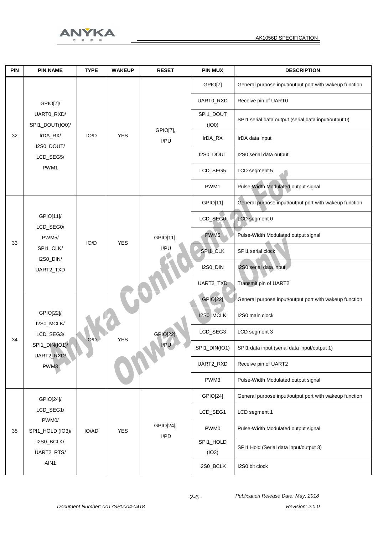

| PIN | <b>PIN NAME</b>              | <b>TYPE</b> | <b>WAKEUP</b>      | <b>RESET</b>            | <b>PIN MUX</b>   | <b>DESCRIPTION</b>                                     |
|-----|------------------------------|-------------|--------------------|-------------------------|------------------|--------------------------------------------------------|
|     |                              |             |                    |                         | GPIO[7]          | General purpose input/output port with wakeup function |
|     | GPIO[7]/                     |             |                    |                         | UART0_RXD        | Receive pin of UART0                                   |
|     | UARTO_RXD/                   |             |                    |                         | SPI1_DOUT        | SPI1 serial data output (serial data input/output 0)   |
|     | SPI1_DOUT(IO0)/              |             |                    | GPIO[7],                | (IO0)            |                                                        |
| 32  | IrDA_RX/<br>I2S0_DOUT/       | IO/D        | <b>YES</b>         | I/PU                    | IrDA_RX          | IrDA data input                                        |
|     | LCD_SEG5/                    |             |                    |                         | I2S0_DOUT        | I2S0 serial data output                                |
|     | PWM1                         |             |                    |                         | LCD_SEG5         | LCD segment 5                                          |
|     |                              |             |                    |                         | PWM1             | Pulse-Width Modulated output signal                    |
|     |                              |             |                    |                         | GPIO[11]         | General purpose input/output port with wakeup function |
|     | GPIO[11]<br>LCD_SEG0/        |             | <b>YES</b>         | GPIO[11],<br>I/PU       | LCD_SEG0         | LCD segment 0                                          |
| 33  | PWM <sub>5</sub> /           | IO/D        |                    |                         | PWM <sub>5</sub> | Pulse-Width Modulated output signal                    |
|     | SPI1_CLK/<br>I2S0_DIN/       |             |                    |                         | SPI1_CLK         | SPI1 serial clock                                      |
|     | UART2_TXD                    |             |                    |                         | I2S0_DIN         | I2S0 serial data input                                 |
|     |                              |             |                    |                         | UART2_TXD        | Transmit pin of UART2                                  |
|     |                              |             | IO/D<br><b>YES</b> | GPIO[22],<br>I/PU<br>WW | <b>GPIO[22]</b>  | General purpose input/output port with wakeup function |
|     | GPIO[22]/                    |             |                    |                         | I2S0_MCLK        | I2S0 main clock                                        |
| 34  | I2S0_MCLK/<br>LCD_SEG3/      |             |                    |                         | LCD_SEG3         | LCD segment 3                                          |
|     | SPI1_DIN(IO1)/<br>UART2_RXD/ |             |                    |                         | SPI1_DIN(IO1)    | SPI1 data input (serial data input/output 1)           |
|     | PWM3                         |             |                    |                         | UART2_RXD        | Receive pin of UART2                                   |
|     |                              |             |                    |                         | PWM3             | Pulse-Width Modulated output signal                    |
|     | GPIO[24]/                    |             |                    |                         | GPIO[24]         | General purpose input/output port with wakeup function |
|     | LCD_SEG1/<br>PWM0/           |             |                    |                         | LCD_SEG1         | LCD segment 1                                          |
| 35  | SPI1_HOLD (IO3)/             | IO/AD       | <b>YES</b>         | GPIO[24],               | PWM0             | Pulse-Width Modulated output signal                    |
|     | I2S0_BCLK/                   |             |                    | I/PD                    | SPI1_HOLD        | SPI1 Hold (Serial data input/output 3)                 |
|     | UART2_RTS/<br>AIN1           |             |                    |                         | (IO3)            |                                                        |
|     |                              |             |                    |                         | I2S0_BCLK        | I2S0 bit clock                                         |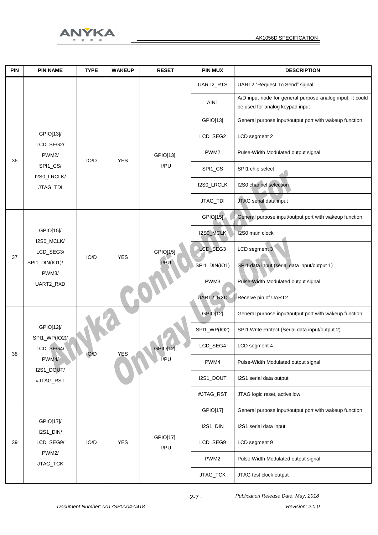

| <b>PIN</b> | <b>PIN NAME</b>                 | <b>TYPE</b> | <b>WAKEUP</b> | <b>RESET</b>      | <b>PIN MUX</b>   | <b>DESCRIPTION</b>                                                                           |
|------------|---------------------------------|-------------|---------------|-------------------|------------------|----------------------------------------------------------------------------------------------|
|            |                                 |             |               |                   | UART2_RTS        | UART2 "Request To Send" signal                                                               |
|            |                                 |             |               |                   | AIN1             | A/D input node for general purpose analog input, it could<br>be used for analog keypad input |
|            |                                 |             |               |                   | GPIO[13]         | General purpose input/output port with wakeup function                                       |
|            | GPIO[13]/                       |             |               |                   | LCD_SEG2         | LCD segment 2                                                                                |
|            | LCD_SEG2/<br>PWM <sub>2</sub> / | IO/D        | <b>YES</b>    | GPIO[13],         | PWM <sub>2</sub> | Pulse-Width Modulated output signal                                                          |
| 36         | SPI1_CS/<br>I2S0_LRCLK/         |             |               | I/PU              | SPI1_CS          | SPI1 chip select                                                                             |
|            | JTAG_TDI                        |             |               |                   | I2S0_LRCLK       | I2S0 channel selection                                                                       |
|            |                                 |             |               |                   | JTAG_TDI         | JTAG serial data input                                                                       |
|            |                                 |             |               |                   | GPIO[15]         | General purpose input/output port with wakeup function                                       |
|            | GPIO[15]/<br>I2S0_MCLK/         |             | <b>YES</b>    | GPIO[15],<br>I/PU | I2S0_MCLK        | 12S0 main clock                                                                              |
| 37         | LCD_SEG3/                       | IO/D        |               |                   | LCD_SEG3         | LCD segment 3                                                                                |
|            | SPI1_DIN(IO1)/<br>PWM3/         |             |               |                   | SPI1_DIN(IO1)    | SPI1 data input (serial data input/output 1)                                                 |
|            | UART2_RXD                       |             |               |                   | PWM3             | Pulse-Width Modulated output signal                                                          |
|            |                                 |             |               |                   | UART2_RXD        | Receive pin of UART2                                                                         |
|            |                                 |             |               | GPIOM2<br>VPU     | GPIO[12]         | General purpose input/output port with wakeup function                                       |
|            | GPIO[12]/<br>SPI1_WP(IO2)/      | IO/D        |               |                   | SPI1_WP(IO2)     | SPI1 Write Protect (Serial data input/output 2)                                              |
| 38         | LCD_SEG4/                       |             | YES           |                   | LCD_SEG4         | LCD segment 4                                                                                |
|            | PWM4/<br>I2S1_DOUT/             |             |               |                   | PWM4             | Pulse-Width Modulated output signal                                                          |
|            | #JTAG_RST                       |             |               |                   | I2S1_DOUT        | I2S1 serial data output                                                                      |
|            |                                 |             |               |                   | #JTAG_RST        | JTAG logic reset, active low                                                                 |
|            |                                 |             |               |                   | GPIO[17]         | General purpose input/output port with wakeup function                                       |
|            | GPIO[17]/<br>I2S1_DIN/          |             |               |                   | I2S1_DIN         | I2S1 serial data input                                                                       |
| 39         | LCD_SEG9/                       | IO/D        | <b>YES</b>    | GPIO[17],<br>I/PU | LCD_SEG9         | LCD segment 9                                                                                |
|            | PWM <sub>2</sub> /<br>JTAG_TCK  |             |               |                   | PWM <sub>2</sub> | Pulse-Width Modulated output signal                                                          |
|            |                                 |             |               |                   | JTAG_TCK         | JTAG test clock output                                                                       |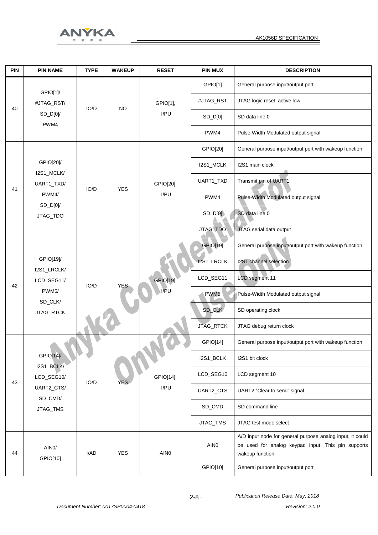

| <b>PIN</b> | <b>PIN NAME</b>               | <b>TYPE</b> | <b>WAKEUP</b>                           | <b>RESET</b>     | <b>PIN MUX</b>                                         | <b>DESCRIPTION</b>                                                                                                                  |
|------------|-------------------------------|-------------|-----------------------------------------|------------------|--------------------------------------------------------|-------------------------------------------------------------------------------------------------------------------------------------|
|            | GPIO[1]/                      |             | <b>NO</b>                               | GPIO[1],         | GPIO[1]                                                | General purpose input/output port                                                                                                   |
| 40         | #JTAG_RST/<br>$SD\_D[0]/$     | IO/D        |                                         |                  | #JTAG_RST                                              | JTAG logic reset, active low                                                                                                        |
|            |                               |             |                                         | I/PU             | SD_D[0]                                                | SD data line 0                                                                                                                      |
|            | PWM4                          |             |                                         |                  | PWM4                                                   | Pulse-Width Modulated output signal                                                                                                 |
|            |                               |             |                                         |                  | GPIO[20]                                               | General purpose input/output port with wakeup function                                                                              |
|            | GPIO[20]/                     |             |                                         |                  | I2S1_MCLK                                              | I2S1 main clock                                                                                                                     |
| 41         | I2S1_MCLK/<br>UART1_TXD/      | IO/D        | <b>YES</b>                              | GPIO[20],        | UART1_TXD                                              | Transmit pin of UART1                                                                                                               |
|            | PWM4/                         |             |                                         | I/PU             | PWM4                                                   | Pulse-Width Modulated output signal                                                                                                 |
|            | $SD\_D[0]/$<br>JTAG_TDO       |             |                                         |                  | $SD$ $D[0]$                                            | SD data line 0                                                                                                                      |
|            |                               |             |                                         |                  | JTAG_TDO                                               | JTAG serial data output                                                                                                             |
|            |                               |             | GPIO[19],<br>IO/D<br><b>YES</b><br>I/PU | GPIO[19]         | General purpose input/output port with wakeup function |                                                                                                                                     |
|            | GPIO[19]/<br>I2S1_LRCLK/      |             |                                         |                  | I2S1_LRCLK                                             | I2S1 channel selection                                                                                                              |
| 42         | LCD_SEG11/                    |             |                                         |                  | LCD_SEG11                                              | <b>LCD</b> segment 11                                                                                                               |
|            | PWM <sub>5</sub> /<br>SD_CLK/ |             |                                         |                  | PWM <sub>5</sub>                                       | Pulse-Width Modulated output signal                                                                                                 |
|            | JTAG_RTCK                     |             |                                         |                  | SD_CLK                                                 | SD operating clock                                                                                                                  |
|            |                               |             |                                         |                  | JTAG_RTCK                                              | JTAG debug return clock                                                                                                             |
|            |                               |             |                                         |                  | GPIO[14]                                               | General purpose input/output port with wakeup function                                                                              |
|            | GPIO[14]/<br>I2S1_BCLK/       |             |                                         |                  | I2S1_BCLK                                              | I2S1 bit clock                                                                                                                      |
| 43         | LCD_SEG10/                    | IO/D        | <b>YES</b>                              | GPIO[14],        | LCD_SEG10                                              | LCD segment 10                                                                                                                      |
|            | UART2_CTS/<br>SD_CMD/         |             |                                         | I/PU             | UART2_CTS                                              | UART2 "Clear to send" signal                                                                                                        |
|            | JTAG_TMS                      |             |                                         |                  | SD_CMD                                                 | SD command line                                                                                                                     |
|            |                               |             |                                         |                  | JTAG_TMS                                               | JTAG test mode select                                                                                                               |
| 44         | AIN <sub>0</sub> /            | I/AD        | <b>YES</b>                              | AIN <sub>0</sub> | AIN <sub>0</sub>                                       | A/D input node for general purpose analog input, it could<br>be used for analog keypad input. This pin supports<br>wakeup function. |
|            | GPIO[10]                      |             |                                         |                  | GPIO[10]                                               | General purpose input/output port                                                                                                   |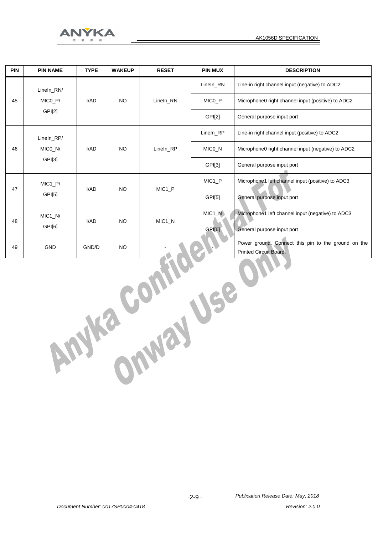

| <b>PIN</b> | <b>PIN NAME</b> | <b>TYPE</b> | <b>WAKEUP</b> | <b>RESET</b>       | <b>PIN MUX</b>     | <b>DESCRIPTION</b>                                                                   |
|------------|-----------------|-------------|---------------|--------------------|--------------------|--------------------------------------------------------------------------------------|
|            | Lineln RN/      |             |               |                    | Lineln RN          | Line-in right channel input (negative) to ADC2                                       |
| 45         | MICO_P/         | I/AD        | <b>NO</b>     | Lineln RN          | MICO_P             | Microphone0 right channel input (positive) to ADC2                                   |
|            | GPI[2]          |             |               |                    | GPI[2]             | General purpose input port                                                           |
|            | Lineln RP/      |             |               |                    | Lineln_RP          | Line-in right channel input (positive) to ADC2                                       |
| 46         | MICO N/         | I/AD        | <b>NO</b>     | Lineln RP          | MICO_N             | Microphone0 right channel input (negative) to ADC2                                   |
|            | GPI[3]          |             |               |                    | GPI[3]             | General purpose input port                                                           |
| 47         | $MIC1_P/$       | I/AD        | <b>NO</b>     | MIC <sub>1_P</sub> | MIC <sub>1_P</sub> | Microphone1 left channel input (positive) to ADC3                                    |
|            | GPI[5]          |             |               |                    | GPI[5]             | General purpose input port                                                           |
| 48         | $MIC1_N/$       | I/AD        | <b>NO</b>     | MIC <sub>1_N</sub> | $MIC1_N$           | Microphone1 left channel input (negative) to ADC3                                    |
|            | GPI[6]          |             |               |                    | GPI[6]             | General purpose input port                                                           |
| 49         | <b>GND</b>      | GND/D       | <b>NO</b>     |                    |                    | Power ground. Connect this pin to the ground on the<br><b>Printed Circuit Board.</b> |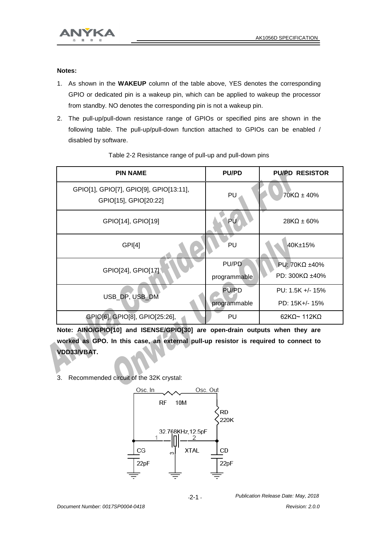

#### **Notes:**

- 1. As shown in the **WAKEUP** column of the table above, YES denotes the corresponding GPIO or dedicated pin is a wakeup pin, which can be applied to wakeup the processor from standby. NO denotes the corresponding pin is not a wakeup pin.
- 2. The pull-up/pull-down resistance range of GPIOs or specified pins are shown in the following table. The pull-up/pull-down function attached to GPIOs can be enabled / disabled by software.

| <b>PIN NAME</b>                                                  | <b>PU/PD</b>                 | <b>PU/PD RESISTOR</b>                           |
|------------------------------------------------------------------|------------------------------|-------------------------------------------------|
| GPIO[1], GPIO[7], GPIO[9], GPIO[13:11],<br>GPIO[15], GPIO[20:22] | PU                           | $70K\Omega \pm 40\%$                            |
| GPIO[14], GPIO[19]                                               | PU                           | $28K\Omega \pm 60\%$                            |
| GP <sub>[4]</sub>                                                | PU                           | 40K±15%                                         |
| GPIO[24], GPIO[17]                                               | PU/PD<br>programmable        | PU: 70K $\Omega$ ±40%<br>PD: 300K $\Omega$ ±40% |
| USB_DP, USB_DM                                                   | <b>PU/PD</b><br>programmable | PU: $1.5K + 1.5\%$<br>PD: 15K+/- 15%            |
| GPIO[6], GPIO[8], GPIO[25:26],                                   | PU                           | $62K\Omega$ ~ 112K $\Omega$                     |

#### Table 2-2 Resistance range of pull-up and pull-down pins

**Note: AINO/GPIO[10] and ISENSE/GPIO[30] are open-drain outputs when they are worked as GPO. In this case, an external pull-up resistor is required to connect to VDD33/VBAT.**

3. Recommended circuit of the 32K crystal:



*-*2-1 *-*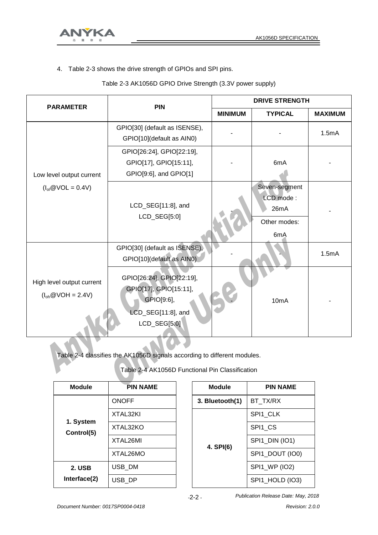

4. Table 2-3 shows the drive strength of GPIOs and SPI pins.

| Table 2-3 AK1056D GPIO Drive Strength (3.3V power supply) |  |  |
|-----------------------------------------------------------|--|--|
|-----------------------------------------------------------|--|--|

| <b>PARAMETER</b>                                     | <b>PIN</b>                                                                                              | <b>DRIVE STRENGTH</b> |                                                           |                |
|------------------------------------------------------|---------------------------------------------------------------------------------------------------------|-----------------------|-----------------------------------------------------------|----------------|
|                                                      |                                                                                                         | <b>MINIMUM</b>        | <b>TYPICAL</b>                                            | <b>MAXIMUM</b> |
|                                                      | GPIO[30] (default as ISENSE),<br>GPIO[10](default as AIN0)                                              |                       |                                                           | 1.5mA          |
| Low level output current                             | GPIO[26:24], GPIO[22:19],<br>GPIO[17], GPIO[15:11],<br>GPIO[9:6], and GPIO[1]                           |                       | 6mA                                                       |                |
| $(Iol@VOL = 0.4V)$                                   | LCD_SEG[11:8], and<br>LCD_SEG[5:0]                                                                      |                       | Seven-segment<br>LCD mode:<br>26mA<br>Other modes:<br>6mA |                |
|                                                      | GPIO[30] (default as ISENSE),<br>GPIO[10](default as AIN0)                                              |                       |                                                           | 1.5mA          |
| High level output current<br>$(I_{oh} @ VOH = 2.4V)$ | GPIO[26:24], GPIO[22:19],<br>GPIO[17], GPIO[15:11],<br>GPIO[9:6],<br>LCD_SEG[11:8], and<br>LCD_SEG[5:0] |                       | 10 <sub>m</sub> A                                         |                |

Table 2-4 classifies the AK1056D signals according to different modules.

Table 2-4 AK1056D Functional Pin Classification

| <b>Module</b>           | <b>PIN NAME</b> |
|-------------------------|-----------------|
|                         | <b>ONOFF</b>    |
|                         | XTAL32KI        |
| 1. System<br>Control(5) | XTAL32KO        |
|                         | XTAL26MI        |
|                         | XTAL26MO        |
| 2. USB                  | USB_DM          |
| Interface(2)            | USB_DP          |

| Module          | <b>PIN NAME</b> |
|-----------------|-----------------|
| 3. Bluetooth(1) | BT TX/RX        |
|                 | SPI1 CLK        |
|                 | SPI1 CS         |
| 4. SPI(6)       | SPI1_DIN (IO1)  |
|                 | SPI1 DOUT (IO0) |
|                 | SPI1_WP (IO2)   |
|                 | SPI1_HOLD (IO3) |

 *Publication Release Date: May, 2018*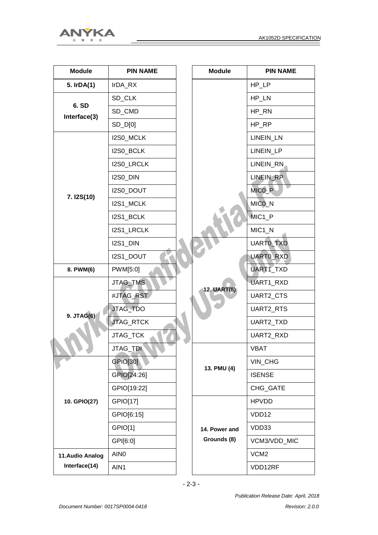



| <b>Module</b>                                                                                         | <b>PIN NAME</b>  |  | <b>Module</b>      | <b>PIN NAME</b>   |
|-------------------------------------------------------------------------------------------------------|------------------|--|--------------------|-------------------|
| 5. IrDA(1)                                                                                            | IrDA_RX          |  |                    | HP_LP             |
|                                                                                                       | SD_CLK           |  |                    | HP_LN             |
|                                                                                                       | SD_CMD           |  |                    | HP_RN             |
|                                                                                                       | $SD$ $D[0]$      |  |                    | HP_RP             |
|                                                                                                       | I2S0_MCLK        |  |                    | LINEIN_LN         |
|                                                                                                       | I2S0_BCLK        |  |                    | LINEIN_LP         |
|                                                                                                       | I2S0_LRCLK       |  |                    | LINEIN_RN         |
|                                                                                                       | I2S0_DIN         |  |                    | LINEIN_RP         |
|                                                                                                       | I2S0_DOUT        |  |                    | MICO <sub>P</sub> |
|                                                                                                       | I2S1_MCLK        |  |                    | MICO_N            |
|                                                                                                       | I2S1_BCLK        |  |                    | MIC1 P            |
|                                                                                                       | I2S1_LRCLK       |  |                    | $MIC1_N$          |
|                                                                                                       | I2S1 DIN         |  |                    | UARTO_TXD         |
|                                                                                                       | I2S1_DOUT        |  |                    | UARTO_RXD         |
| 8. PWM(6)                                                                                             | PWM[5:0]         |  |                    | UART1_TXD         |
|                                                                                                       | JTAG_TMS         |  | <b>12. UART(8)</b> | UART1_RXD         |
| 6. SD<br>Interface(3)<br>7. I2S(10)<br>9. JTAG(6)<br>10. GPIO(27)<br>11.Audio Analog<br>Interface(14) | #JTAG_RST        |  |                    | UART2_CTS         |
|                                                                                                       | JTAG_TDO         |  |                    | UART2_RTS         |
|                                                                                                       | JTAG_RTCK        |  |                    | UART2_TXD         |
|                                                                                                       | JTAG_TCK         |  |                    | UART2_RXD         |
|                                                                                                       | JTAG_TDI         |  |                    | VBAT              |
|                                                                                                       | GPIO[30]         |  | 13. PMU (4)        | VIN_CHG           |
|                                                                                                       | GPIO[24:26]      |  |                    | <b>ISENSE</b>     |
|                                                                                                       | GPIO[19:22]      |  |                    | CHG_GATE          |
|                                                                                                       | GPIO[17]         |  |                    | <b>HPVDD</b>      |
|                                                                                                       | GPIO[6:15]       |  |                    | VDD12             |
|                                                                                                       | GPIO[1]          |  | 14. Power and      | VDD33             |
|                                                                                                       | GPI[6:0]         |  | Grounds (8)        | VCM3/VDD_MIC      |
|                                                                                                       | AIN <sub>0</sub> |  |                    | VCM <sub>2</sub>  |
|                                                                                                       | AIN1             |  |                    | VDD12RF           |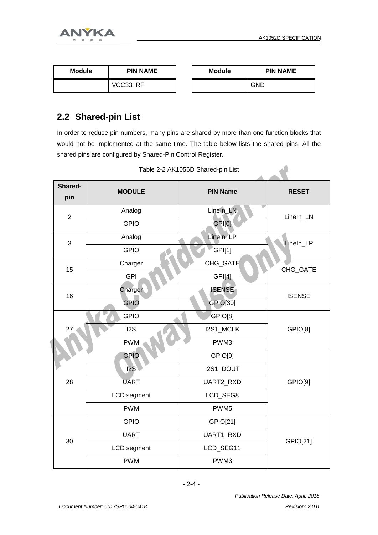



| <b>Module</b> | <b>PIN NAME</b> | <b>Module</b> | <b>PIN NAME</b> |
|---------------|-----------------|---------------|-----------------|
|               | VCC33 RF        |               | GND             |

#### **2.2 Shared-pin List**

In order to reduce pin numbers, many pins are shared by more than one function blocks that would not be implemented at the same time. The table below lists the shared pins. All the shared pins are configured by Shared-Pin Control Register.

| Shared-<br>pin | <b>MODULE</b>    | <b>PIN Name</b>  | <b>RESET</b>  |
|----------------|------------------|------------------|---------------|
| $\overline{2}$ | Analog           | Lineln_LN        | LineIn_LN     |
|                | <b>GPIO</b>      | GPI[0]           |               |
| $\mathfrak{S}$ | Analog           | Lineln_LP        | Lineln_LP     |
|                | <b>GPIO</b>      | GPI[1]           |               |
| 15             | Charger          | CHG_GATE         | CHG_GATE      |
|                | <b>GPI</b>       | GPI[4]           |               |
| 16             | Charger          | <b>ISENSE</b>    | <b>ISENSE</b> |
|                | <b>GPIO</b>      | GPIO[30]         |               |
|                | <b>GPIO</b>      | GPIO[8]          |               |
| 27             | I <sub>2</sub> S | I2S1_MCLK        | GPIO[8]       |
|                | <b>PWM</b>       | PWM3             |               |
|                | <b>GPIO</b>      | GPIO[9]          |               |
|                | 2S               | I2S1_DOUT        |               |
| 28             | <b>UART</b>      | UART2_RXD        | GPIO[9]       |
|                | LCD segment      | LCD_SEG8         |               |
|                | <b>PWM</b>       | PWM <sub>5</sub> |               |
|                | <b>GPIO</b>      | GPIO[21]         |               |
| 30             | <b>UART</b>      | UART1_RXD        | GPIO[21]      |
|                | LCD segment      | LCD_SEG11        |               |
|                | <b>PWM</b>       | PWM3             |               |

Table 2-2 AK1056D Shared-pin List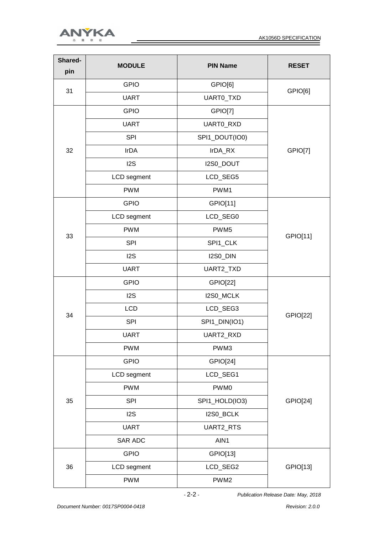



| Shared-<br>pin             | <b>MODULE</b>                                                                                                                                                                                                                                                                                                                                                       | <b>PIN Name</b>                                                                                                                                                                                                                                                                                                                                                                              | <b>RESET</b>    |
|----------------------------|---------------------------------------------------------------------------------------------------------------------------------------------------------------------------------------------------------------------------------------------------------------------------------------------------------------------------------------------------------------------|----------------------------------------------------------------------------------------------------------------------------------------------------------------------------------------------------------------------------------------------------------------------------------------------------------------------------------------------------------------------------------------------|-----------------|
|                            | <b>GPIO</b>                                                                                                                                                                                                                                                                                                                                                         | GPIO[6]                                                                                                                                                                                                                                                                                                                                                                                      |                 |
|                            | <b>UART</b>                                                                                                                                                                                                                                                                                                                                                         | UARTO_TXD                                                                                                                                                                                                                                                                                                                                                                                    | GPIO[6]         |
|                            | <b>GPIO</b>                                                                                                                                                                                                                                                                                                                                                         | GPIO[7]<br>UARTO_RXD<br>SPI1_DOUT(IO0)<br>IrDA_RX<br>I2S0_DOUT<br>LCD_SEG5<br>PWM1<br>GPIO[11]<br>LCD_SEG0<br>PWM <sub>5</sub><br>SPI1_CLK<br>I2S0_DIN<br>UART2_TXD<br><b>GPIO[22]</b><br>I2S0_MCLK<br>LCD_SEG3<br>SPI1_DIN(IO1)<br><b>UART2 RXD</b><br>PWM3<br>GPIO[24]<br>LCD_SEG1<br>PWM0<br>SPI1_HOLD(IO3)<br>I2S0_BCLK<br>UART2_RTS<br>AIN1<br>GPIO[13]<br>LCD_SEG2<br>PWM <sub>2</sub> |                 |
|                            | <b>UART</b>                                                                                                                                                                                                                                                                                                                                                         |                                                                                                                                                                                                                                                                                                                                                                                              |                 |
|                            | <b>SPI</b><br><b>IrDA</b><br>12S<br>LCD segment<br><b>PWM</b><br><b>GPIO</b><br>LCD segment<br><b>PWM</b><br><b>SPI</b><br>12S<br><b>UART</b><br><b>GPIO</b><br>12S<br><b>LCD</b><br><b>SPI</b><br><b>UART</b><br><b>PWM</b><br><b>GPIO</b><br>LCD segment<br><b>PWM</b><br><b>SPI</b><br>12S<br><b>UART</b><br>SAR ADC<br><b>GPIO</b><br>LCD segment<br><b>PWM</b> |                                                                                                                                                                                                                                                                                                                                                                                              |                 |
| 32                         |                                                                                                                                                                                                                                                                                                                                                                     |                                                                                                                                                                                                                                                                                                                                                                                              | GPIO[7]         |
|                            |                                                                                                                                                                                                                                                                                                                                                                     |                                                                                                                                                                                                                                                                                                                                                                                              |                 |
|                            |                                                                                                                                                                                                                                                                                                                                                                     |                                                                                                                                                                                                                                                                                                                                                                                              |                 |
|                            |                                                                                                                                                                                                                                                                                                                                                                     |                                                                                                                                                                                                                                                                                                                                                                                              |                 |
|                            |                                                                                                                                                                                                                                                                                                                                                                     |                                                                                                                                                                                                                                                                                                                                                                                              |                 |
|                            |                                                                                                                                                                                                                                                                                                                                                                     |                                                                                                                                                                                                                                                                                                                                                                                              |                 |
|                            |                                                                                                                                                                                                                                                                                                                                                                     |                                                                                                                                                                                                                                                                                                                                                                                              |                 |
|                            |                                                                                                                                                                                                                                                                                                                                                                     |                                                                                                                                                                                                                                                                                                                                                                                              | GPIO[11]        |
|                            |                                                                                                                                                                                                                                                                                                                                                                     |                                                                                                                                                                                                                                                                                                                                                                                              |                 |
|                            |                                                                                                                                                                                                                                                                                                                                                                     |                                                                                                                                                                                                                                                                                                                                                                                              |                 |
|                            |                                                                                                                                                                                                                                                                                                                                                                     |                                                                                                                                                                                                                                                                                                                                                                                              |                 |
|                            |                                                                                                                                                                                                                                                                                                                                                                     |                                                                                                                                                                                                                                                                                                                                                                                              |                 |
|                            |                                                                                                                                                                                                                                                                                                                                                                     |                                                                                                                                                                                                                                                                                                                                                                                              |                 |
|                            |                                                                                                                                                                                                                                                                                                                                                                     |                                                                                                                                                                                                                                                                                                                                                                                              | <b>GPIO[22]</b> |
|                            |                                                                                                                                                                                                                                                                                                                                                                     |                                                                                                                                                                                                                                                                                                                                                                                              |                 |
|                            |                                                                                                                                                                                                                                                                                                                                                                     |                                                                                                                                                                                                                                                                                                                                                                                              |                 |
|                            |                                                                                                                                                                                                                                                                                                                                                                     |                                                                                                                                                                                                                                                                                                                                                                                              |                 |
|                            |                                                                                                                                                                                                                                                                                                                                                                     |                                                                                                                                                                                                                                                                                                                                                                                              |                 |
| 31<br>33<br>34<br>35<br>36 |                                                                                                                                                                                                                                                                                                                                                                     |                                                                                                                                                                                                                                                                                                                                                                                              |                 |
|                            |                                                                                                                                                                                                                                                                                                                                                                     | GPIO[24]                                                                                                                                                                                                                                                                                                                                                                                     |                 |
|                            |                                                                                                                                                                                                                                                                                                                                                                     |                                                                                                                                                                                                                                                                                                                                                                                              |                 |
|                            |                                                                                                                                                                                                                                                                                                                                                                     |                                                                                                                                                                                                                                                                                                                                                                                              |                 |
|                            |                                                                                                                                                                                                                                                                                                                                                                     |                                                                                                                                                                                                                                                                                                                                                                                              |                 |
|                            |                                                                                                                                                                                                                                                                                                                                                                     |                                                                                                                                                                                                                                                                                                                                                                                              |                 |
|                            |                                                                                                                                                                                                                                                                                                                                                                     |                                                                                                                                                                                                                                                                                                                                                                                              | GPIO[13]        |
|                            |                                                                                                                                                                                                                                                                                                                                                                     |                                                                                                                                                                                                                                                                                                                                                                                              |                 |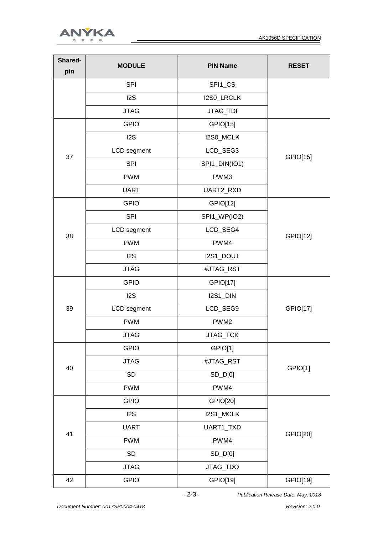

| Shared-<br>pin             | <b>MODULE</b> | <b>PIN Name</b>                                                                                                                                                                                                                       | <b>RESET</b> |
|----------------------------|---------------|---------------------------------------------------------------------------------------------------------------------------------------------------------------------------------------------------------------------------------------|--------------|
|                            | <b>SPI</b>    | SPI1_CS                                                                                                                                                                                                                               |              |
|                            | 12S           | I2S0_LRCLK                                                                                                                                                                                                                            |              |
|                            | <b>JTAG</b>   | JTAG_TDI                                                                                                                                                                                                                              |              |
|                            | <b>GPIO</b>   | GPIO[15]                                                                                                                                                                                                                              |              |
| 37<br>38<br>39<br>40<br>41 | 12S           | I2S0_MCLK                                                                                                                                                                                                                             |              |
|                            | LCD segment   | LCD_SEG3                                                                                                                                                                                                                              | GPIO[15]     |
|                            | <b>SPI</b>    | SPI1_DIN(IO1)                                                                                                                                                                                                                         |              |
|                            | <b>PWM</b>    | PWM3                                                                                                                                                                                                                                  |              |
|                            | <b>UART</b>   | UART2_RXD                                                                                                                                                                                                                             |              |
|                            | <b>GPIO</b>   | GPIO[12]                                                                                                                                                                                                                              |              |
|                            | <b>SPI</b>    | SPI1_WP(IO2)                                                                                                                                                                                                                          |              |
|                            | LCD segment   | LCD_SEG4                                                                                                                                                                                                                              | GPIO[12]     |
|                            | <b>PWM</b>    | PWM4<br>I2S1_DOUT<br>#JTAG_RST<br>GPIO[17]<br>I2S1_DIN<br>LCD_SEG9<br>PWM <sub>2</sub><br><b>JTAG TCK</b><br>GPIO[1]<br>#JTAG_RST<br>SD_D[0]<br>PWM4<br>GPIO[20]<br>I2S1_MCLK<br>UART1_TXD<br>PWM4<br>SD_D[0]<br>JTAG_TDO<br>GPIO[19] |              |
| 42                         | 12S           |                                                                                                                                                                                                                                       |              |
|                            | <b>JTAG</b>   |                                                                                                                                                                                                                                       |              |
|                            | <b>GPIO</b>   |                                                                                                                                                                                                                                       |              |
|                            | 12S           |                                                                                                                                                                                                                                       |              |
|                            | LCD segment   |                                                                                                                                                                                                                                       | GPIO[17]     |
|                            | <b>PWM</b>    |                                                                                                                                                                                                                                       |              |
|                            | <b>JTAG</b>   |                                                                                                                                                                                                                                       |              |
|                            | <b>GPIO</b>   |                                                                                                                                                                                                                                       |              |
|                            | <b>JTAG</b>   |                                                                                                                                                                                                                                       |              |
|                            | SD            |                                                                                                                                                                                                                                       | GPIO[1]      |
|                            | <b>PWM</b>    |                                                                                                                                                                                                                                       |              |
|                            | <b>GPIO</b>   |                                                                                                                                                                                                                                       |              |
|                            | 12S           |                                                                                                                                                                                                                                       |              |
|                            | <b>UART</b>   |                                                                                                                                                                                                                                       |              |
|                            | <b>PWM</b>    |                                                                                                                                                                                                                                       | GPIO[20]     |
|                            | SD            |                                                                                                                                                                                                                                       |              |
|                            | <b>JTAG</b>   |                                                                                                                                                                                                                                       |              |
|                            | <b>GPIO</b>   |                                                                                                                                                                                                                                       | GPIO[19]     |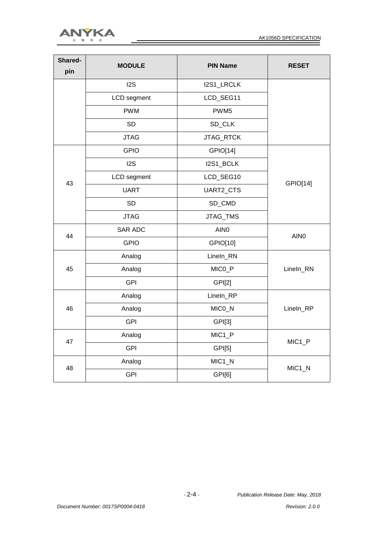



| Shared-<br>pin | <b>MODULE</b>    | <b>PIN Name</b>                                                                                                                                                                                          | <b>RESET</b>       |
|----------------|------------------|----------------------------------------------------------------------------------------------------------------------------------------------------------------------------------------------------------|--------------------|
|                | 12S              | I2S1_LRCLK                                                                                                                                                                                               |                    |
|                | LCD segment      | LCD_SEG11                                                                                                                                                                                                |                    |
|                | <b>PWM</b>       | PWM <sub>5</sub>                                                                                                                                                                                         |                    |
|                | <b>SD</b>        | SD_CLK                                                                                                                                                                                                   |                    |
|                | <b>JTAG</b>      | JTAG_RTCK                                                                                                                                                                                                |                    |
|                | <b>GPIO</b>      | GPIO[14]                                                                                                                                                                                                 |                    |
|                | I <sub>2</sub> S | I2S1_BCLK                                                                                                                                                                                                |                    |
| 43             | LCD segment      | LCD_SEG10                                                                                                                                                                                                | GPIO[14]           |
|                | <b>UART</b>      | UART2_CTS<br>SD_CMD<br>JTAG_TMS<br>AIN <sub>0</sub><br>GPIO[10]<br>Lineln_RN<br>MICO_P<br><b>GPI[2]</b><br>LineIn_RP<br>MICO_N<br>GPI[3]<br>MIC <sub>1_P</sub><br>GPI[5]<br>MIC <sub>1_N</sub><br>GPI[6] |                    |
|                | <b>SD</b>        |                                                                                                                                                                                                          |                    |
|                | <b>JTAG</b>      |                                                                                                                                                                                                          |                    |
| 44             | <b>SAR ADC</b>   |                                                                                                                                                                                                          | AIN <sub>0</sub>   |
|                | <b>GPIO</b>      |                                                                                                                                                                                                          |                    |
|                | Analog           |                                                                                                                                                                                                          |                    |
| 45             | Analog           |                                                                                                                                                                                                          | Lineln_RN          |
|                | <b>GPI</b>       |                                                                                                                                                                                                          |                    |
|                | Analog           |                                                                                                                                                                                                          |                    |
| 46             | Analog           |                                                                                                                                                                                                          | Lineln_RP          |
|                | <b>GPI</b>       |                                                                                                                                                                                                          |                    |
| 47             | Analog           |                                                                                                                                                                                                          |                    |
|                | <b>GPI</b>       |                                                                                                                                                                                                          | MIC <sub>1_P</sub> |
| 48             | Analog           |                                                                                                                                                                                                          |                    |
|                | <b>GPI</b>       |                                                                                                                                                                                                          | MIC <sub>1_N</sub> |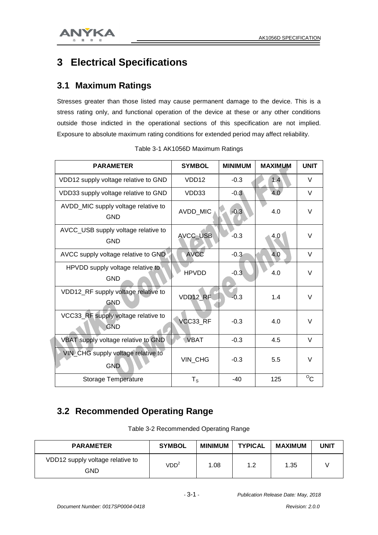

## **3 Electrical Specifications**

#### **3.1 Maximum Ratings**

Stresses greater than those listed may cause permanent damage to the device. This is a stress rating only, and functional operation of the device at these or any other conditions outside those indicted in the operational sections of this specification are not implied. Exposure to absolute maximum rating conditions for extended period may affect reliability.

| <b>PARAMETER</b>                                  | <b>SYMBOL</b>     | <b>MINIMUM</b> | <b>MAXIMUM</b> | <b>UNIT</b>  |
|---------------------------------------------------|-------------------|----------------|----------------|--------------|
| VDD12 supply voltage relative to GND              | VDD <sub>12</sub> | $-0.3$         | 1.4            | $\vee$       |
| VDD33 supply voltage relative to GND              | VDD33             | $-0.3$         | 4.0            | V            |
| AVDD_MIC supply voltage relative to<br><b>GND</b> | AVDD_MIC          | $-0.3$         | 4.0            | $\vee$       |
| AVCC_USB supply voltage relative to<br><b>GND</b> | AVCC_USB          | $-0.3$         | 4.0            | $\vee$       |
| AVCC supply voltage relative to GND               | <b>AVCC</b>       | $-0.3$         | 4.0            | $\vee$       |
| HPVDD supply voltage relative to<br><b>GND</b>    | <b>HPVDD</b>      | $-0.3$         | 4.0            | $\vee$       |
| VDD12_RF supply voltage relative to<br><b>GND</b> | VDD12 RF          | $-0.3$         | 1.4            | $\vee$       |
| VCC33_RF supply voltage relative to<br><b>GND</b> | VCC33_RF          | $-0.3$         | 4.0            | $\vee$       |
| VBAT supply voltage relative to GND               | <b>VBAT</b>       | $-0.3$         | 4.5            | V            |
| VIN_CHG supply voltage relative to<br><b>GND</b>  | VIN_CHG           | $-0.3$         | 5.5            | $\vee$       |
| <b>Storage Temperature</b>                        | $T_S$             | -40            | 125            | $^{\circ}$ C |

Table 3-1 AK1056D Maximum Ratings

#### **3.2 Recommended Operating Range**

| Table 3-2 Recommended Operating Range |  |  |
|---------------------------------------|--|--|
|---------------------------------------|--|--|

| <b>PARAMETER</b>                        | <b>SYMBOL</b>    | <b>MINIMUM</b> | <b>TYPICAL</b> | <b>MAXIMUM</b> | <b>UNIT</b> |
|-----------------------------------------|------------------|----------------|----------------|----------------|-------------|
| VDD12 supply voltage relative to<br>GND | VDD <sup>2</sup> | 1.08           | 1.2            | 1.35           |             |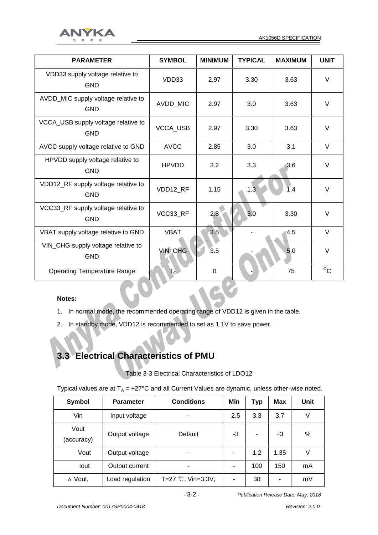

| <b>PARAMETER</b>                                  | <b>SYMBOL</b>  | <b>MINIMUM</b> | <b>TYPICAL</b> | <b>MAXIMUM</b> | <b>UNIT</b> |
|---------------------------------------------------|----------------|----------------|----------------|----------------|-------------|
| VDD33 supply voltage relative to<br><b>GND</b>    | VDD33          | 2.97           | 3.30           | 3.63           | V           |
| AVDD_MIC supply voltage relative to<br><b>GND</b> | AVDD_MIC       | 2.97           | 3.0            | 3.63           | $\vee$      |
| VCCA_USB supply voltage relative to<br><b>GND</b> | VCCA_USB       | 2.97           | 3.30           | 3.63           | $\vee$      |
| AVCC supply voltage relative to GND               | <b>AVCC</b>    | 2.85           | 3.0            | 3.1            | $\vee$      |
| HPVDD supply voltage relative to<br><b>GND</b>    | <b>HPVDD</b>   | 3.2            | 3.3            | 3.6            | $\vee$      |
| VDD12_RF supply voltage relative to<br><b>GND</b> | VDD12 RF       | 1.15           | 1.3            | 1.4            | $\vee$      |
| VCC33_RF supply voltage relative to<br><b>GND</b> | VCC33_RF       | 2.8            | 3.0            | 3.30           | V           |
| VBAT supply voltage relative to GND               | <b>VBAT</b>    | 3.5            |                | 4.5            | $\vee$      |
| VIN_CHG supply voltage relative to<br><b>GND</b>  | <b>VIN_CHG</b> | 3.5            |                | 5.0            | $\vee$      |
| <b>Operating Temperature Range</b>                | $T_{\rm o}$    | $\mathbf 0$    |                | 75             | $\rm ^{o}C$ |
|                                                   |                |                |                |                |             |

#### **Notes:**

- 1. In normal mode, the recommended operating range of VDD12 is given in the table.
- 2. In standby mode, VDD12 is recommended to set as 1.1V to save power.

## **3.3 Electrical Characteristics of PMU**

Table 3-3 Electrical Characteristics of LDO12

Typical values are at  $T_A = +27^{\circ}$ C and all Current Values are dynamic, unless other-wise noted.

| <b>Symbol</b>      | <b>Parameter</b> | <b>Conditions</b>           | Min | Typ | Max  | Unit |
|--------------------|------------------|-----------------------------|-----|-----|------|------|
| Vin                | Input voltage    | ۰                           | 2.5 | 3.3 | 3.7  | V    |
| Vout<br>(accuracy) | Output voltage   | Default                     | -3  |     | $+3$ | %    |
| Vout               | Output voltage   | ۰                           |     | 1.2 | 1.35 | V    |
| lout               | Output current   | -                           |     | 100 | 150  | mA   |
| $\triangle$ Vout,  | Load regulation  | T=27 $\degree$ C, Vin=3.3V, |     | 38  | ٠    | mV   |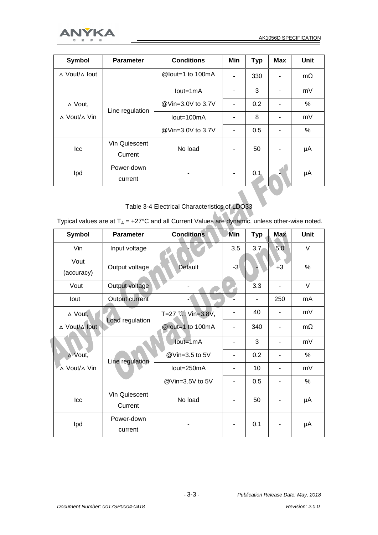



| Symbol            | <b>Parameter</b>         | <b>Conditions</b> | Min | <b>Typ</b> | <b>Max</b> | Unit      |
|-------------------|--------------------------|-------------------|-----|------------|------------|-----------|
| ∆ Vout/∆ lout     |                          | @lout=1 to 100mA  |     | 330        |            | $m\Omega$ |
|                   |                          | $Iout=1mA$        |     | 3          | ۰          | mV        |
| $\triangle$ Vout, | Line regulation          | @Vin=3.0V to 3.7V |     | 0.2        | ۰          | %         |
| ∆ Vout/∆ Vin      |                          | lout=100mA        |     | 8          |            | mV        |
|                   |                          | @Vin=3.0V to 3.7V |     | 0.5        |            | %         |
| Icc               | Vin Quiescent<br>Current | No load           |     | 50         | ۰          | μA        |
| Ipd               | Power-down<br>current    |                   |     | 0.1        |            | μA        |

Table 3-4 Electrical Characteristics of LDO33

Typical values are at  $T_A$  = +27°C and all Current Values are dynamic, unless other-wise noted.

| <b>Symbol</b>                   | <b>Parameter</b>      | <b>Conditions</b>  | Min                          | <b>Typ</b> | <b>Max</b>     | Unit      |
|---------------------------------|-----------------------|--------------------|------------------------------|------------|----------------|-----------|
| Vin                             | Input voltage         |                    | 3.5                          | 3.7        | 5.0            | $\vee$    |
| Vout<br>(accuracy)              | Output voltage        | Default            | $-3$                         |            | $+3$           | %         |
| Vout                            | Output voltage        |                    |                              | 3.3        | $\overline{a}$ | $\vee$    |
| lout                            | Output current        |                    |                              |            | 250            | mA        |
| △ Vout,                         |                       | T=27 °C, Vin=3.8V, |                              | 40         |                | mV        |
| ∆ Vout/∆ lout                   | Load regulation       | @lout=1 to 100mA   | $\qquad \qquad \blacksquare$ | 340        |                | $m\Omega$ |
|                                 |                       | $Iout=1mA$         | $\blacksquare$               | 3          |                | mV        |
| ∆ Vout,                         | Line regulation       | @Vin=3.5 to 5V     | $\overline{\phantom{a}}$     | 0.2        |                | $\%$      |
| A Vout/∆ Vin                    |                       | lout=250mA         |                              | 10         |                | mV        |
|                                 |                       | @Vin=3.5V to 5V    | $\overline{a}$               | 0.5        |                | %         |
| Vin Quiescent<br>Icc<br>Current |                       | No load            | -                            | 50         |                | μA        |
| Ipd                             | Power-down<br>current |                    |                              | 0.1        |                | μA        |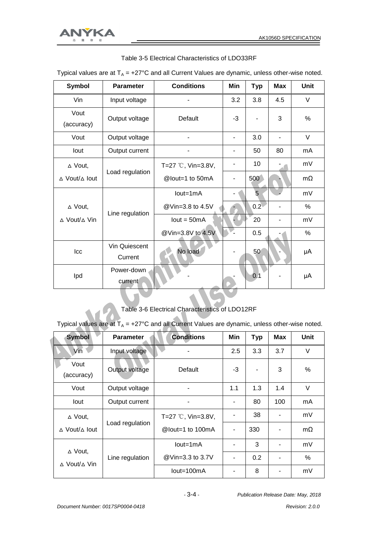

| <b>Symbol</b>                      | <b>Parameter</b> | <b>Conditions</b>  | Min  | <b>Typ</b> | <b>Max</b> | Unit      |
|------------------------------------|------------------|--------------------|------|------------|------------|-----------|
| Vin                                | Input voltage    |                    | 3.2  | 3.8        | 4.5        | V         |
| Vout<br>(accuracy)                 | Output voltage   | Default            | $-3$ |            | 3          | %         |
| Vout                               | Output voltage   |                    |      | 3.0        |            | V         |
| lout                               | Output current   |                    |      | 50         | 80         | mA        |
| $\triangle$ Vout,                  |                  | T=27 °C, Vin=3.8V, |      | 10         |            | mV        |
| $\triangle$ Vout/ $\triangle$ lout | Load regulation  | @lout=1 to 50mA    |      | 500        |            | $m\Omega$ |
|                                    |                  | $Iout=1mA$         |      | 5          |            | mV        |
| ∆ Vout,                            | Line regulation  | @Vin=3.8 to 4.5V   |      | 0.2        |            | %         |
| $\triangle$ Vout/ $\triangle$ Vin  |                  | $Iout = 50mA$      |      | 20         |            | mV        |
|                                    |                  | @Vin=3.8V to 4.5V  |      | 0.5        |            | %         |
| Icc                                | Vin Quiescent    | No load            |      | 50         |            | μA        |
|                                    | Current          |                    |      |            |            |           |
| Ipd                                | Power-down       |                    |      | 0.1        |            | μA        |
|                                    | current          |                    |      |            |            |           |

Table 3-5 Electrical Characteristics of LDO33RF

Typical values are at  $T_A$  = +27°C and all Current Values are dynamic, unless other-wise noted.

## Table 3-6 Electrical Characteristics of LDO12RF

Typical values are at  $T_A$  = +27°C and all Current Values are dynamic, unless other-wise noted.

| <b>Symbol</b>                      | <b>Parameter</b> | <b>Conditions</b>           | Min | <b>Typ</b> | <b>Max</b>               | Unit      |
|------------------------------------|------------------|-----------------------------|-----|------------|--------------------------|-----------|
| Vin                                | Input voltage    |                             | 2.5 | 3.3        | 3.7                      | V         |
| Vout<br>(accuracy)                 | Output voltage   | Default                     | -3  |            | 3                        | %         |
| Vout                               | Output voltage   |                             | 1.1 | 1.3        | 1.4                      | V         |
| lout                               | Output current   |                             |     | 80         | 100                      | mA        |
| ∆ Vout,                            |                  | T=27 $\degree$ C, Vin=3.8V, |     | 38         |                          | mV        |
| $\triangle$ Vout/ $\triangle$ lout | Load regulation  | @lout=1 to 100mA            |     | 330        | ۰                        | $m\Omega$ |
| $\triangle$ Vout,                  |                  | $Iout=1mA$                  |     | 3          |                          | mV        |
| $\triangle$ Vout/ $\triangle$ Vin  | Line regulation  | @Vin=3.3 to 3.7V            |     | 0.2        | $\overline{\phantom{0}}$ | %         |
|                                    |                  | $Iout=100mA$                |     | 8          |                          | mV        |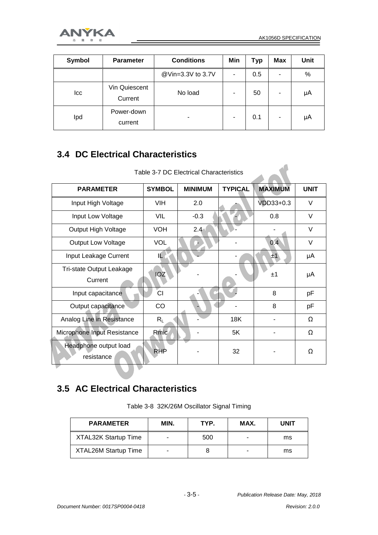$\overline{a}$ 



| Symbol | <b>Parameter</b>         | <b>Conditions</b> | Min | Typ | <b>Max</b> | <b>Unit</b> |
|--------|--------------------------|-------------------|-----|-----|------------|-------------|
|        |                          | @Vin=3.3V to 3.7V |     | 0.5 | ٠          | %           |
| Icc    | Vin Quiescent<br>Current | No load           |     | 50  | ۰          | μA          |
| Ipd    | Power-down<br>current    | -                 |     | 0.1 | ٠          | μA          |

#### **3.4 DC Electrical Characteristics**

| <b>PARAMETER</b>                    | <b>SYMBOL</b> | <b>MINIMUM</b> | <b>TYPICAL</b> | <b>MAXIMUM</b> | <b>UNIT</b> |
|-------------------------------------|---------------|----------------|----------------|----------------|-------------|
| Input High Voltage                  | <b>VIH</b>    | 2.0            |                | VDD33+0.3      | $\vee$      |
| Input Low Voltage                   | VIL           | $-0.3$         |                | 0.8            | V           |
| Output High Voltage                 | <b>VOH</b>    | $2.4 -$        |                |                | V           |
| <b>Output Low Voltage</b>           | <b>VOL</b>    |                |                | 0.4            | $\vee$      |
| Input Leakage Current               | IL.           |                |                | ±1             | μA          |
| Tri-state Output Leakage<br>Current | <b>IOZ</b>    |                |                | ±1             | μA          |
| Input capacitance                   | ĆІ            |                |                | 8              | pF          |
| Output capacitance                  | CO            |                |                | 8              | pF          |
| Analog Line in Resistance           | $R_L$         |                | <b>18K</b>     |                | Ω           |
| Microphone Input Resistance         | Rmic          |                | 5K             |                | $\Omega$    |
| Headphone output load<br>resistance | <b>RHP</b>    |                | 32             |                | Ω           |

Table 3-7 DC Electrical Characteristics

#### **3.5 AC Electrical Characteristics**

Table 3-8 32K/26M Oscillator Signal Timing

| <b>PARAMETER</b>            | MIN. | TYP. | MAX. | <b>UNIT</b> |
|-----------------------------|------|------|------|-------------|
| <b>XTAL32K Startup Time</b> |      | 500  | -    | ms          |
| <b>XTAL26M Startup Time</b> |      |      | -    | ms          |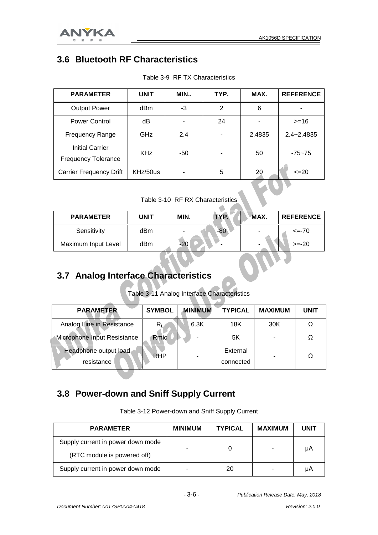

#### **3.6 Bluetooth RF Characteristics**

| <b>PARAMETER</b>                                     | <b>UNIT</b> | MIN | TYP. | MAX.   | <b>REFERENCE</b> |
|------------------------------------------------------|-------------|-----|------|--------|------------------|
| <b>Output Power</b>                                  | dBm         | -3  | 2    | 6      |                  |
| Power Control                                        | dB          |     | 24   |        | $>=16$           |
| <b>Frequency Range</b>                               | GHz         | 2.4 | ۰    | 2.4835 | $2.4 - 2.4835$   |
| <b>Initial Carrier</b><br><b>Frequency Tolerance</b> | <b>KHz</b>  | -50 |      | 50     | $-75 - 75$       |
| <b>Carrier Frequency Drift</b>                       | KHz/50us    |     | 5    | 20     | $\leq$ 20        |

Table 3-9 RF TX Characteristics

Table 3-10 RF RX Characteristics

| <b>PARAMETER</b>    | UNIT | MIN.  | TYP.  | MAX. | <b>REFERENCE</b> |
|---------------------|------|-------|-------|------|------------------|
| Sensitivity         | dBm  |       | $-80$ |      | $\leq$ -70       |
| Maximum Input Level | dBm  | $-20$ | -     |      | $>= -20$         |

#### **3.7 Analog Interface Characteristics**

Table 3-11 Analog Interface Characteristics

| <b>PARAMETER</b>                    | <b>SYMBOL</b> | <b>MINIMUM</b> | <b>TYPICAL</b>        | <b>MAXIMUM</b> | <b>UNIT</b> |
|-------------------------------------|---------------|----------------|-----------------------|----------------|-------------|
| Analog Line in Resistance           | R∟            | 6.3K           | 18K                   | 30K            |             |
| Microphone Input Resistance         | Rmic          |                | 5K                    |                |             |
| Headphone output load<br>resistance | <b>RHP</b>    |                | External<br>connected |                |             |

#### **3.8 Power-down and Sniff Supply Current**

| <b>PARAMETER</b>                  | <b>MINIMUM</b> | <b>TYPICAL</b> | <b>MAXIMUM</b> | <b>UNIT</b> |
|-----------------------------------|----------------|----------------|----------------|-------------|
| Supply current in power down mode |                |                |                | μA          |
| (RTC module is powered off)       |                |                |                |             |
| Supply current in power down mode |                | 20             |                | μA          |

Table 3-12 Power-down and Sniff Supply Current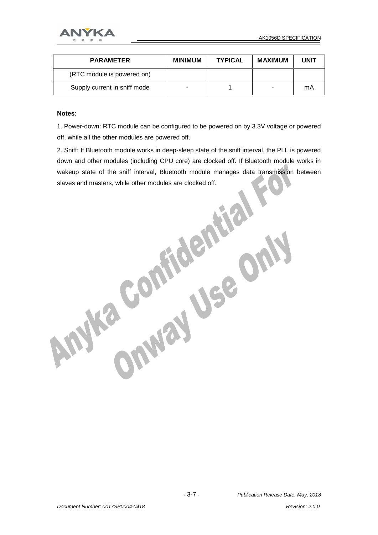

| <b>PARAMETER</b>             | <b>MINIMUM</b> | <b>TYPICAL</b> | MAXIMUM | <b>UNIT</b> |
|------------------------------|----------------|----------------|---------|-------------|
| (RTC module is powered on)   |                |                |         |             |
| Supply current in sniff mode |                |                |         | mA          |

#### **Notes**:

1. Power-down: RTC module can be configured to be powered on by 3.3V voltage or powered off, while all the other modules are powered off.

2. Sniff: If Bluetooth module works in deep-sleep state of the sniff interval, the PLL is powered down and other modules (including CPU core) are clocked off. If Bluetooth module works in wakeup state of the sniff interval, Bluetooth module manages data transmission between slaves and masters, while other modules are clocked off.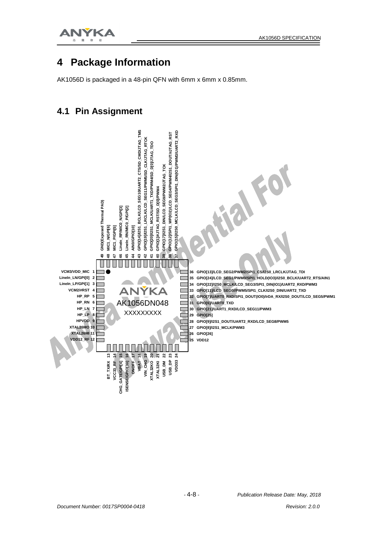

#### **4 Package Information**

AK1056D is packaged in a 48-pin QFN with 6mm x 6mm x 0.85mm.

#### **4.1 Pin Assignment**

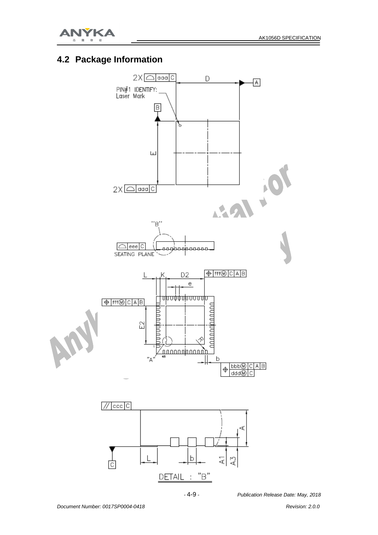

#### **4.2 Package Information**

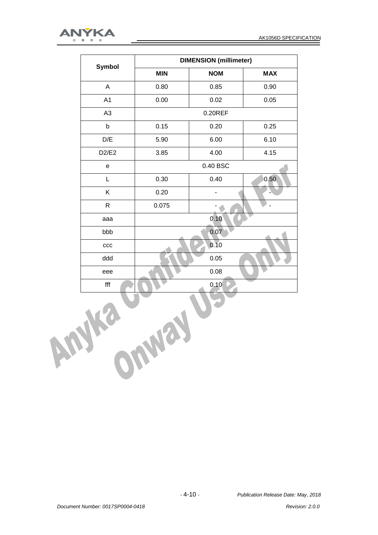

|            | Symbol                   | <b>DIMENSION</b> (millimeter) |                          |            |  |
|------------|--------------------------|-------------------------------|--------------------------|------------|--|
|            |                          | <b>MIN</b>                    | <b>NOM</b>               | <b>MAX</b> |  |
|            | A                        | 0.80                          | 0.85                     | 0.90       |  |
|            | A <sub>1</sub>           | 0.00                          | 0.02                     | 0.05       |  |
|            | A <sub>3</sub>           |                               | $0.20$ REF               |            |  |
|            | $\sf b$                  | 0.15                          | 0.20                     | 0.25       |  |
|            | D/E                      | 5.90                          | 6.00                     | 6.10       |  |
|            | D2/E2                    | 3.85                          | 4.00                     | 4.15       |  |
|            | e                        |                               | 0.40 BSC                 |            |  |
|            | L                        | 0.30                          | 0.40                     | 0.50       |  |
|            | Κ                        | 0.20                          | $\overline{\phantom{0}}$ |            |  |
|            | $\mathsf R$              | 0.075                         |                          |            |  |
|            | aaa                      | 0.10                          |                          |            |  |
|            | bbb                      |                               | 0.07                     |            |  |
|            | ccc                      |                               | 0.10                     |            |  |
|            | ddd                      |                               | 0.05                     |            |  |
|            | eee                      | 0.08                          |                          |            |  |
|            | $\operatorname{\sf fff}$ |                               | 0.10                     |            |  |
| hu<br>OWNE |                          |                               |                          |            |  |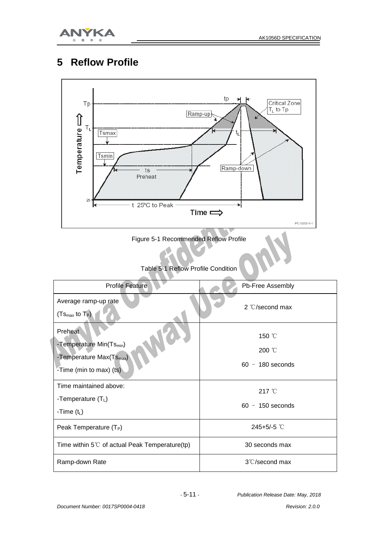

## **5 Reflow Profile**



Figure 5-1 Recommended Reflow Profile

Table 5-1 Reflow Profile Condition

| <b>Profile Feature</b>                                                                                             | Pb-Free Assembly                       |
|--------------------------------------------------------------------------------------------------------------------|----------------------------------------|
| Average ramp-up rate<br>$(Ts_{max}$ to $T_P$ )                                                                     | 2 $\mathbb{C}/\mathbb{S}$ econd max    |
| Preheat<br>-Temperature Min(Ts <sub>min</sub> )<br>-Temperature Max(Ts <sub>max</sub> )<br>-Time (min to max) (ts) | 150 °C<br>200 °C<br>$60 - 180$ seconds |
| Time maintained above:<br>-Temperature $(T_L)$<br>-Time $(t_L)$                                                    | 217 °C<br>$60 - 150$ seconds           |
| Peak Temperature $(T_P)$                                                                                           | 245+5/-5 $°C$                          |
| Time within $5^{\circ}$ of actual Peak Temperature(tp)                                                             | 30 seconds max                         |
| Ramp-down Rate                                                                                                     | 3°C/second max                         |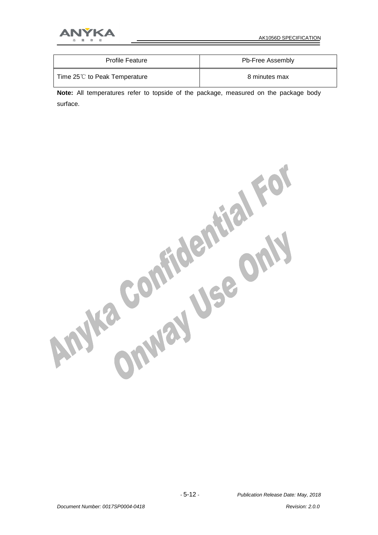

| <b>Profile Feature</b>                | Pb-Free Assembly |
|---------------------------------------|------------------|
| Time $25^{\circ}$ to Peak Temperature | 8 minutes max    |

**Note:** All temperatures refer to topside of the package, measured on the package body surface.